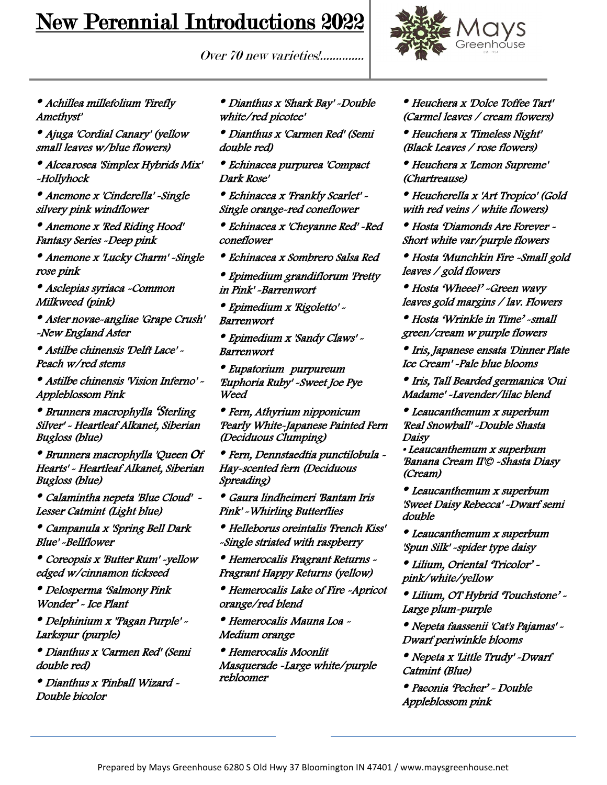## New Perennial Introductions 2022





## • Achillea millefolium 'Firefly Amethyst'

• Ajuga 'Cordial Canary' (yellow small leaves w/blue flowers)

• Alcea rosea 'Simplex Hybrids Mix' -Hollyhock

• Anemone x 'Cinderella' -Single silvery pink windflower

• Anemone x 'Red Riding Hood' Fantasy Series -Deep pink

• Anemone x 'Lucky Charm' -Single rose pink

• Asclepias syriaca -Common Milkweed (pink)

• Aster novae-angliae 'Grape Crush' -New England Aster

• Astilbe chinensis 'Delft Lace' - Peach w/red stems

• Astilbe chinensis 'Vision Inferno' - Appleblossom Pink

• Brunnera macrophylla 'Sterling Silver' - Heartleaf Alkanet, Siberian Bugloss (blue)

• Brunnera macrophylla 'Queen Of Hearts' - Heartleaf Alkanet, Siberian Bugloss (blue)

• Calamintha nepeta 'Blue Cloud' - Lesser Catmint (Light blue)

• Campanula x 'Spring Bell Dark Blue' -Bellflower

• Coreopsis x 'Butter Rum' -yellow edged w/cinnamon tickseed

• Delosperma 'Salmony Pink Wonder' - Ice Plant

• Delphinium x ''Pagan Purple' - Larkspur (purple)

• Dianthus x 'Carmen Red' (Semi double red)

• Dianthus x 'Pinball Wizard - Double bicolor

• Dianthus x 'Shark Bay' -Double white/red picotee'

• Dianthus x 'Carmen Red' (Semi double red)

• Echinacea purpurea 'Compact Dark Rose'

• Echinacea x 'Frankly Scarlet' - Single orange-red coneflower

• Echinacea x 'Cheyanne Red' -Red coneflower

• Echinacea x Sombrero Salsa Red

• Epimedium grandiflorum 'Pretty in Pink' -Barrenwort

• Epimedium x 'Rigoletto' - Barrenwort

• Epimedium x 'Sandy Claws' - Barrenwort

• Eupatorium purpureum 'Euphoria Ruby' -Sweet Joe Pye Weed

• Fern, Athyrium nipponicum 'Pearly White-Japanese Painted Fern (Deciduous Clumping)

• Fern, Dennstaedtia punctilobula - Hay-scented fern (Deciduous Spreading)

• Gaura lindheimeri 'Bantam Iris Pink' -Whirling Butterflies

• Helleborus oreintalis 'French Kiss' -Single striated with raspberry

• Hemerocalis Fragrant Returns - Fragrant Happy Returns (yellow)

• Hemerocalis Lake of Fire -Apricot orange/red blend

• Hemerocalis Mauna Loa - Medium orange

• Hemerocalis Moonlit Masquerade -Large white/purple rebloomer

• Heuchera x 'Dolce Toffee Tart' (Carmel leaves / cream flowers)

• Heuchera x 'Timeless Night' (Black Leaves / rose flowers)

• Heuchera x 'Lemon Supreme' (Chartreause)

• Heucherella x 'Art Tropico' (Gold with red veins / white flowers)

• Hosta 'Diamonds Are Forever - Short white var/purple flowers

• Hosta 'Munchkin Fire -Small gold leaves / gold flowers

• Hosta 'Wheee!' -Green wavy leaves gold margins / lav. Flowers

• Hosta 'Wrinkle in Time' -small green/cream w purple flowers

• Iris, Japanese ensata 'Dinner Plate Ice Cream' -Pale blue blooms

• Iris, Tall Bearded germanica 'Oui Madame' -Lavender/lilac blend

• Leaucanthemum x superbum 'Real Snowball' -Double Shasta Daisy

• Leaucanthemum x superbum 'Banana Cream II'© -Shasta Diasy (Cream)

• Leaucanthemum x superbum 'Sweet Daisy Rebecca' -Dwarf semi double

• Leaucanthemum x superbum 'Spun Silk' -spider type daisy

• Lilium, Oriental 'Tricolor' pink/white/yellow

• Lilium, OT Hybrid 'Touchstone' - Large plum-purple

• Nepeta faassenii 'Cat's Pajamas' - Dwarf periwinkle blooms

• Nepeta x 'Little Trudy' -Dwarf Catmint (Blue)

• Paeonia 'Pecher' - Double Appleblossom pink